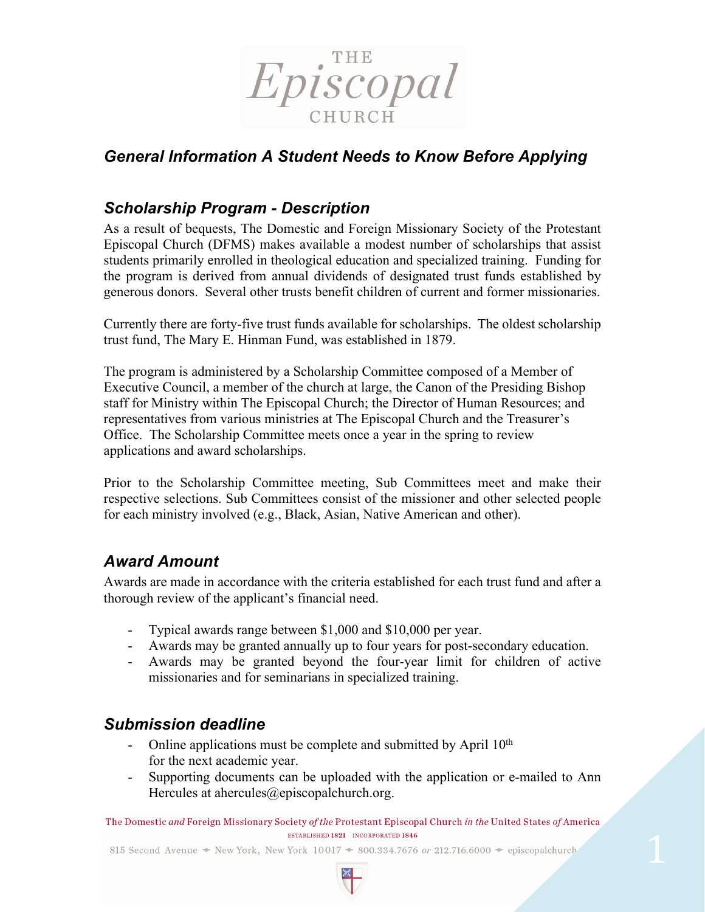

# *General Information A Student Needs to Know Before Applying*

#### *Scholarship Program - Description*

As a result of bequests, The Domestic and Foreign Missionary Society of the Protestant Episcopal Church (DFMS) makes available a modest number of scholarships that assist students primarily enrolled in theological education and specialized training. Funding for the program is derived from annual dividends of designated trust funds established by generous donors. Several other trusts benefit children of current and former missionaries.

Currently there are forty-five trust funds available for scholarships. The oldest scholarship trust fund, The Mary E. Hinman Fund, was established in 1879.

The program is administered by a Scholarship Committee composed of a Member of Executive Council, a member of the church at large, the Canon of the Presiding Bishop staff for Ministry within The Episcopal Church; the Director of Human Resources; and representatives from various ministries at The Episcopal Church and the Treasurer's Office. The Scholarship Committee meets once a year in the spring to review applications and award scholarships.

Prior to the Scholarship Committee meeting, Sub Committees meet and make their respective selections. Sub Committees consist of the missioner and other selected people for each ministry involved (e.g., Black, Asian, Native American and other).

### *Award Amount*

Awards are made in accordance with the criteria established for each trust fund and after a thorough review of the applicant's financial need.

- Typical awards range between \$1,000 and \$10,000 per year.
- Awards may be granted annually up to four years for post-secondary education.
- Awards may be granted beyond the four-year limit for children of active missionaries and for seminarians in specialized training.

### *Submission deadline*

- Online applications must be complete and submitted by April  $10<sup>th</sup>$ for the next academic year.
- Supporting documents can be uploaded with the application or e-mailed to Ann Hercules at ahercules@episcopalchurch.org.

The Domestic and Foreign Missionary Society of the Protestant Episcopal Church in the United States of America ESTABLISHED 1821 INCORPORATED 1846

815 Second Avenue • New York, New York 10017 • 800.334.7676 or 212.716.6000 • episcopalchurch

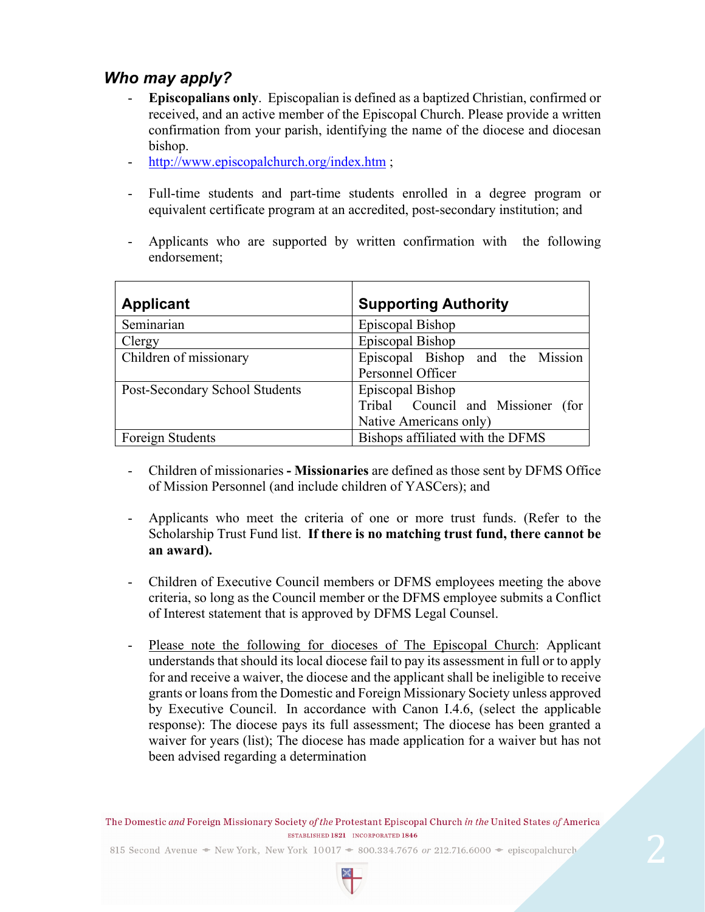## *Who may apply?*

- **Episcopalians only**. Episcopalian is defined as a baptized Christian, confirmed or received, and an active member of the Episcopal Church. Please provide a written confirmation from your parish, identifying the name of the diocese and diocesan bishop.
- http://www.episcopalchurch.org/index.htm ;
- Full-time students and part-time students enrolled in a degree program or equivalent certificate program at an accredited, post-secondary institution; and
- Applicants who are supported by written confirmation with the following endorsement;

| <b>Applicant</b>               | <b>Supporting Authority</b>          |
|--------------------------------|--------------------------------------|
| Seminarian                     | Episcopal Bishop                     |
| Clergy                         | Episcopal Bishop                     |
| Children of missionary         | Episcopal Bishop and the Mission     |
|                                | Personnel Officer                    |
| Post-Secondary School Students | Episcopal Bishop                     |
|                                | Tribal Council and Missioner<br>(for |
|                                | Native Americans only)               |
| <b>Foreign Students</b>        | Bishops affiliated with the DFMS     |

- Children of missionaries **- Missionaries** are defined as those sent by DFMS Office of Mission Personnel (and include children of YASCers); and
- Applicants who meet the criteria of one or more trust funds. (Refer to the Scholarship Trust Fund list. **If there is no matching trust fund, there cannot be an award).**
- Children of Executive Council members or DFMS employees meeting the above criteria, so long as the Council member or the DFMS employee submits a Conflict of Interest statement that is approved by DFMS Legal Counsel.
- Please note the following for dioceses of The Episcopal Church: Applicant understands that should its local diocese fail to pay its assessment in full or to apply for and receive a waiver, the diocese and the applicant shall be ineligible to receive grants or loans from the Domestic and Foreign Missionary Society unless approved by Executive Council. In accordance with Canon I.4.6, (select the applicable response): The diocese pays its full assessment; The diocese has been granted a waiver for years (list); The diocese has made application for a waiver but has not been advised regarding a determination

The Domestic and Foreign Missionary Society of the Protestant Episcopal Church in the United States of America ESTABLISHED 1821 INCORPORATED 1846

815 Second Avenue  $\bullet$  New York, New York 10017  $\bullet$  800.334.7676 or 212.716.6000  $\bullet$  episcopalchurch